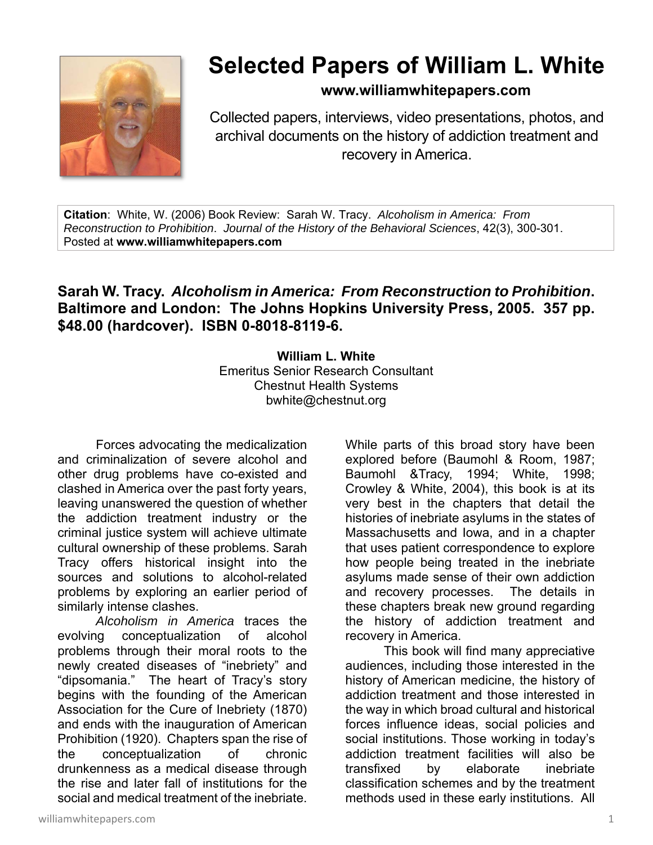

## **Selected Papers of William L. White**

**www.williamwhitepapers.com**

Collected papers, interviews, video presentations, photos, and archival documents on the history of addiction treatment and recovery in America.

**Citation**: White, W. (2006) Book Review: Sarah W. Tracy. *Alcoholism in America: From Reconstruction to Prohibition*. *Journal of the History of the Behavioral Sciences*, 42(3), 300-301. Posted at **www.williamwhitepapers.com** 

## **Sarah W. Tracy.** *Alcoholism in America: From Reconstruction to Prohibition***. Baltimore and London: The Johns Hopkins University Press, 2005. 357 pp. \$48.00 (hardcover). ISBN 0-8018-8119-6.**

**William L. White**  Emeritus Senior Research Consultant Chestnut Health Systems bwhite@chestnut.org

Forces advocating the medicalization and criminalization of severe alcohol and other drug problems have co-existed and clashed in America over the past forty years, leaving unanswered the question of whether the addiction treatment industry or the criminal justice system will achieve ultimate cultural ownership of these problems. Sarah Tracy offers historical insight into the sources and solutions to alcohol-related problems by exploring an earlier period of similarly intense clashes.

*Alcoholism in America* traces the evolving conceptualization of alcohol problems through their moral roots to the newly created diseases of "inebriety" and "dipsomania." The heart of Tracy's story begins with the founding of the American Association for the Cure of Inebriety (1870) and ends with the inauguration of American Prohibition (1920). Chapters span the rise of the conceptualization of chronic drunkenness as a medical disease through the rise and later fall of institutions for the social and medical treatment of the inebriate.

While parts of this broad story have been explored before (Baumohl & Room, 1987; Baumohl &Tracy, 1994; White, 1998; Crowley & White, 2004), this book is at its very best in the chapters that detail the histories of inebriate asylums in the states of Massachusetts and Iowa, and in a chapter that uses patient correspondence to explore how people being treated in the inebriate asylums made sense of their own addiction and recovery processes. The details in these chapters break new ground regarding the history of addiction treatment and recovery in America.

 This book will find many appreciative audiences, including those interested in the history of American medicine, the history of addiction treatment and those interested in the way in which broad cultural and historical forces influence ideas, social policies and social institutions. Those working in today's addiction treatment facilities will also be transfixed by elaborate inebriate classification schemes and by the treatment methods used in these early institutions. All